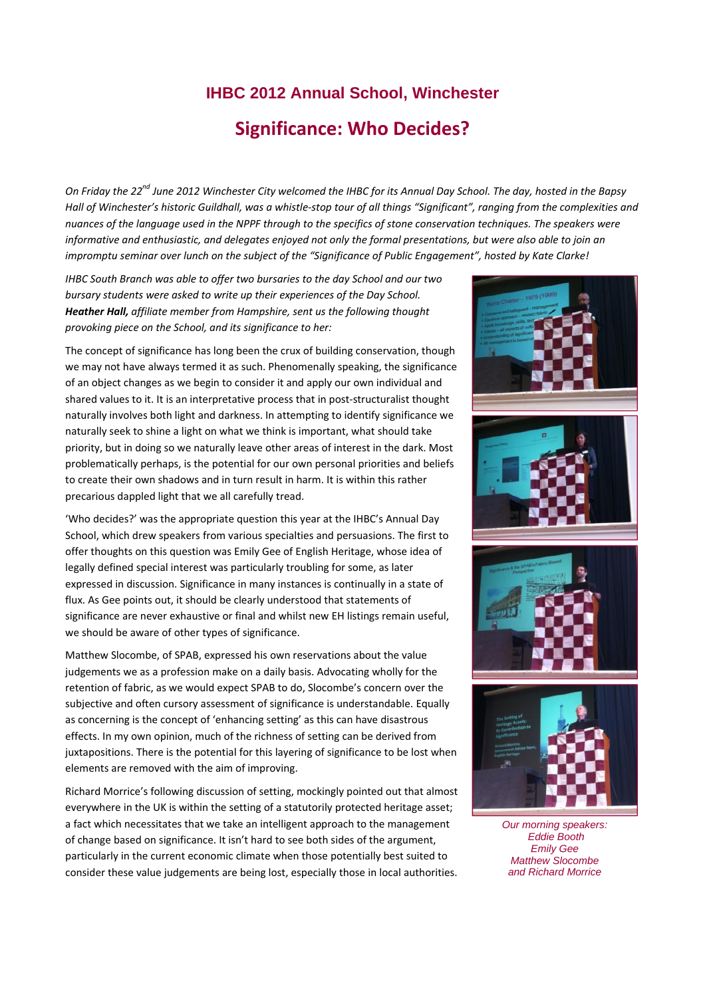# **IHBC 2012 Annual School, Winchester Significance: Who Decides?**

On Friday the 22<sup>nd</sup> June 2012 Winchester City welcomed the IHBC for its Annual Day School. The day, hosted in the Bapsy Hall of Winchester's historic Guildhall, was a whistle-stop tour of all things "Significant", ranging from the complexities and nuances of the language used in the NPPF through to the specifics of stone conservation techniques. The speakers were informative and enthusiastic, and delegates enjoyed not only the formal presentations, but were also able to join an impromptu seminar over lunch on the subject of the "Significance of Public Engagement", hosted by Kate Clarke!

*IHBC South Branch was able to offer two bursaries to the day School and our two bursary students were asked to write up their experiences of the Day School. Heather Hall, affiliate member from Hampshire, sent us the following thought provoking piece on the School, and its significance to her:*

The concept of significance has long been the crux of building conservation, though we may not have always termed it as such. Phenomenally speaking, the significance of an object changes as we begin to consider it and apply our own individual and shared values to it. It is an interpretative process that in post-structuralist thought naturally involves both light and darkness. In attempting to identify significance we naturally seek to shine a light on what we think is important, what should take priority, but in doing so we naturally leave other areas of interest in the dark. Most problematically perhaps, is the potential for our own personal priorities and beliefs to create their own shadows and in turn result in harm. It is within this rather precarious dappled light that we all carefully tread.

'Who decides?' was the appropriate question this year at the IHBC's Annual Day School, which drew speakers from various specialties and persuasions. The first to offer thoughts on this question was Emily Gee of English Heritage, whose idea of legally defined special interest was particularly troubling for some, as later expressed in discussion. Significance in many instances is continually in a state of flux. As Gee points out, it should be clearly understood that statements of significance are never exhaustive or final and whilst new EH listings remain useful, we should be aware of other types of significance.

Matthew Slocombe, of SPAB, expressed his own reservations about the value judgements we as a profession make on a daily basis. Advocating wholly for the retention of fabric, as we would expect SPAB to do, Slocombe's concern over the subjective and often cursory assessment of significance is understandable. Equally as concerning is the concept of 'enhancing setting' as this can have disastrous effects. In my own opinion, much of the richness of setting can be derived from juxtapositions. There is the potential for this layering of significance to be lost when elements are removed with the aim of improving.

Richard Morrice's following discussion of setting, mockingly pointed out that almost everywhere in the UK is within the setting of a statutorily protected heritage asset; a fact which necessitates that we take an intelligent approach to the management of change based on significance. It isn't hard to see both sides of the argument, particularly in the current economic climate when those potentially best suited to consider these value judgements are being lost, especially those in local authorities.



 *Eddie Booth Emily Gee Matthew Slocombe and Richard Morrice*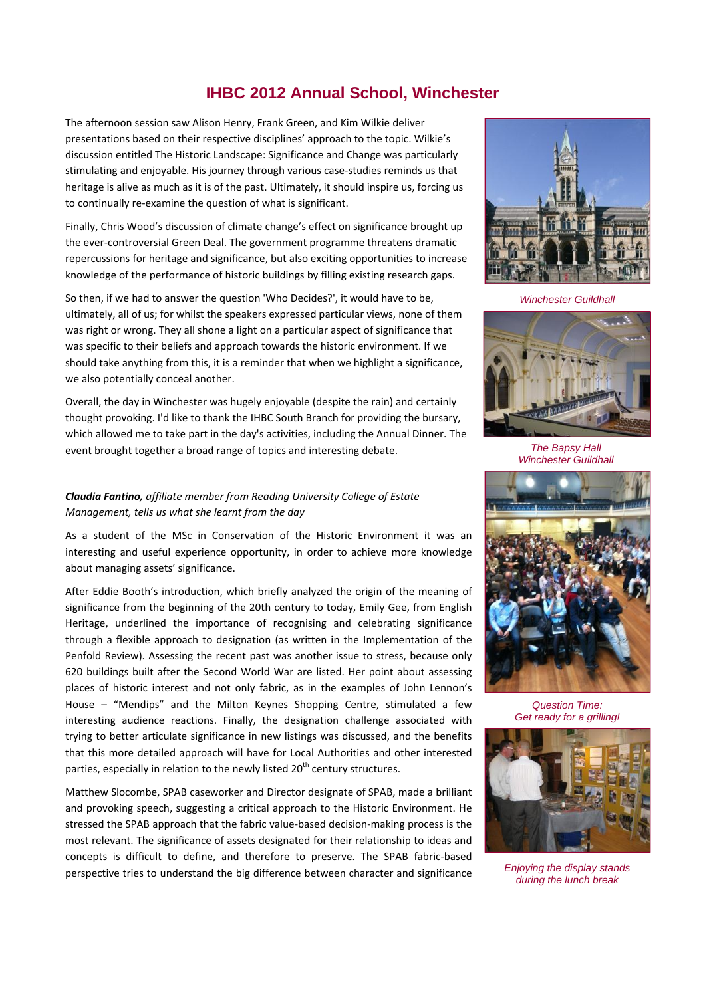### **IHBC 2012 Annual School, Winchester**

The afternoon session saw Alison Henry, Frank Green, and Kim Wilkie deliver presentations based on their respective disciplines' approach to the topic. Wilkie's discussion entitled The Historic Landscape: Significance and Change was particularly stimulating and enjoyable. His journey through various case‐studies reminds us that heritage is alive as much as it is of the past. Ultimately, it should inspire us, forcing us to continually re‐examine the question of what is significant.

Finally, Chris Wood's discussion of climate change's effect on significance brought up the ever‐controversial Green Deal. The government programme threatens dramatic repercussions for heritage and significance, but also exciting opportunities to increase knowledge of the performance of historic buildings by filling existing research gaps.

So then, if we had to answer the question 'Who Decides?', it would have to be, ultimately, all of us; for whilst the speakers expressed particular views, none of them was right or wrong. They all shone a light on a particular aspect of significance that was specific to their beliefs and approach towards the historic environment. If we should take anything from this, it is a reminder that when we highlight a significance, we also potentially conceal another.

Overall, the day in Winchester was hugely enjoyable (despite the rain) and certainly thought provoking. I'd like to thank the IHBC South Branch for providing the bursary, which allowed me to take part in the day's activities, including the Annual Dinner. The event brought together a broad range of topics and interesting debate.

#### *Claudia Fantino, affiliate member from Reading University College of Estate Management, tells us what she learnt from the day*

As a student of the MSc in Conservation of the Historic Environment it was an interesting and useful experience opportunity, in order to achieve more knowledge about managing assets' significance.

After Eddie Booth's introduction, which briefly analyzed the origin of the meaning of significance from the beginning of the 20th century to today, Emily Gee, from English Heritage, underlined the importance of recognising and celebrating significance through a flexible approach to designation (as written in the Implementation of the Penfold Review). Assessing the recent past was another issue to stress, because only 620 buildings built after the Second World War are listed. Her point about assessing places of historic interest and not only fabric, as in the examples of John Lennon's House – "Mendips" and the Milton Keynes Shopping Centre, stimulated a few interesting audience reactions. Finally, the designation challenge associated with trying to better articulate significance in new listings was discussed, and the benefits that this more detailed approach will have for Local Authorities and other interested parties, especially in relation to the newly listed  $20<sup>th</sup>$  century structures.

Matthew Slocombe, SPAB caseworker and Director designate of SPAB, made a brilliant and provoking speech, suggesting a critical approach to the Historic Environment. He stressed the SPAB approach that the fabric value‐based decision‐making process is the most relevant. The significance of assets designated for their relationship to ideas and concepts is difficult to define, and therefore to preserve. The SPAB fabric‐based perspective tries to understand the big difference between character and significance



*Winchester Guildhall* 



*The Bapsy Hall Winchester Guildhall* 



*Question Time: Get ready for a grilling!* 



*Enjoying the display stands during the lunch break*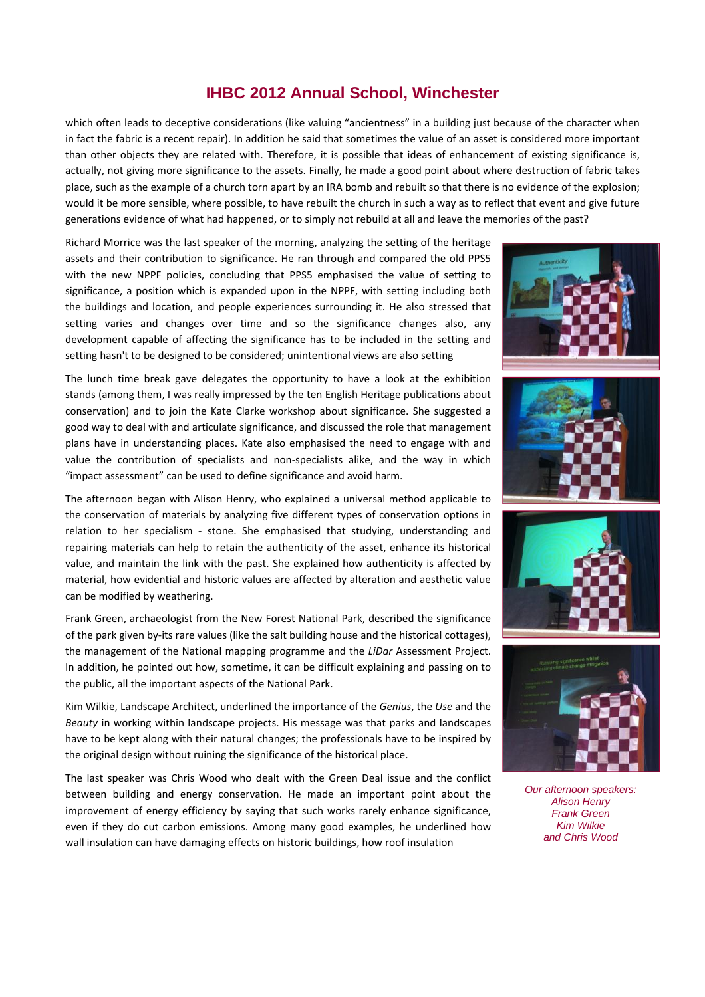#### **IHBC 2012 Annual School, Winchester**

which often leads to deceptive considerations (like valuing "ancientness" in a building just because of the character when in fact the fabric is a recent repair). In addition he said that sometimes the value of an asset is considered more important than other objects they are related with. Therefore, it is possible that ideas of enhancement of existing significance is, actually, not giving more significance to the assets. Finally, he made a good point about where destruction of fabric takes place, such as the example of a church torn apart by an IRA bomb and rebuilt so that there is no evidence of the explosion; would it be more sensible, where possible, to have rebuilt the church in such a way as to reflect that event and give future generations evidence of what had happened, or to simply not rebuild at all and leave the memories of the past?

Richard Morrice was the last speaker of the morning, analyzing the setting of the heritage assets and their contribution to significance. He ran through and compared the old PPS5 with the new NPPF policies, concluding that PPS5 emphasised the value of setting to significance, a position which is expanded upon in the NPPF, with setting including both the buildings and location, and people experiences surrounding it. He also stressed that setting varies and changes over time and so the significance changes also, any development capable of affecting the significance has to be included in the setting and setting hasn't to be designed to be considered; unintentional views are also setting

The lunch time break gave delegates the opportunity to have a look at the exhibition stands (among them, I was really impressed by the ten English Heritage publications about conservation) and to join the Kate Clarke workshop about significance. She suggested a good way to deal with and articulate significance, and discussed the role that management plans have in understanding places. Kate also emphasised the need to engage with and value the contribution of specialists and non‐specialists alike, and the way in which "impact assessment" can be used to define significance and avoid harm.

The afternoon began with Alison Henry, who explained a universal method applicable to the conservation of materials by analyzing five different types of conservation options in relation to her specialism - stone. She emphasised that studying, understanding and repairing materials can help to retain the authenticity of the asset, enhance its historical value, and maintain the link with the past. She explained how authenticity is affected by material, how evidential and historic values are affected by alteration and aesthetic value can be modified by weathering.

Frank Green, archaeologist from the New Forest National Park, described the significance of the park given by‐its rare values (like the salt building house and the historical cottages), the management of the National mapping programme and the *LiDar* Assessment Project. In addition, he pointed out how, sometime, it can be difficult explaining and passing on to the public, all the important aspects of the National Park.

Kim Wilkie, Landscape Architect, underlined the importance of the *Genius*, the *Use* and the *Beauty* in working within landscape projects. His message was that parks and landscapes have to be kept along with their natural changes; the professionals have to be inspired by the original design without ruining the significance of the historical place.

The last speaker was Chris Wood who dealt with the Green Deal issue and the conflict between building and energy conservation. He made an important point about the improvement of energy efficiency by saying that such works rarely enhance significance, even if they do cut carbon emissions. Among many good examples, he underlined how wall insulation can have damaging effects on historic buildings, how roof insulation









*Our afternoon speakers: Alison Henry Frank Green Kim Wilkie and Chris Wood*